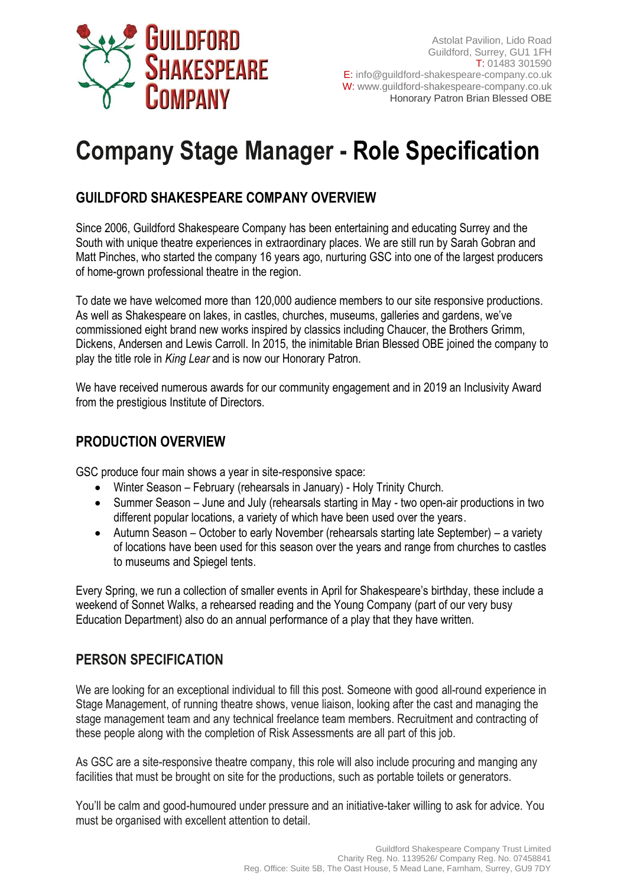

# **Company Stage Manager - Role Specification**

## **GUILDFORD SHAKESPEARE COMPANY OVERVIEW**

Since 2006, Guildford Shakespeare Company has been entertaining and educating Surrey and the South with unique theatre experiences in extraordinary places. We are still run by Sarah Gobran and Matt Pinches, who started the company 16 years ago, nurturing GSC into one of the largest producers of home-grown professional theatre in the region.

To date we have welcomed more than 120,000 audience members to our site responsive productions. As well as Shakespeare on lakes, in castles, churches, museums, galleries and gardens, we've commissioned eight brand new works inspired by classics including Chaucer, the Brothers Grimm, Dickens, Andersen and Lewis Carroll. In 2015, the inimitable Brian Blessed OBE joined the company to play the title role in *King Lear* and is now our Honorary Patron.

We have received numerous awards for our community engagement and in 2019 an Inclusivity Award from the prestigious Institute of Directors.

### **PRODUCTION OVERVIEW**

GSC produce four main shows a year in site-responsive space:

- Winter Season February (rehearsals in January) Holy Trinity Church.
- Summer Season June and July (rehearsals starting in May two open-air productions in two different popular locations, a variety of which have been used over the years.
- Autumn Season October to early November (rehearsals starting late September) a variety of locations have been used for this season over the years and range from churches to castles to museums and Spiegel tents.

Every Spring, we run a collection of smaller events in April for Shakespeare's birthday, these include a weekend of Sonnet Walks, a rehearsed reading and the Young Company (part of our very busy Education Department) also do an annual performance of a play that they have written.

### **PERSON SPECIFICATION**

We are looking for an exceptional individual to fill this post. Someone with good all-round experience in Stage Management, of running theatre shows, venue liaison, looking after the cast and managing the stage management team and any technical freelance team members. Recruitment and contracting of these people along with the completion of Risk Assessments are all part of this job.

As GSC are a site-responsive theatre company, this role will also include procuring and manging any facilities that must be brought on site for the productions, such as portable toilets or generators.

You'll be calm and good-humoured under pressure and an initiative-taker willing to ask for advice. You must be organised with excellent attention to detail.